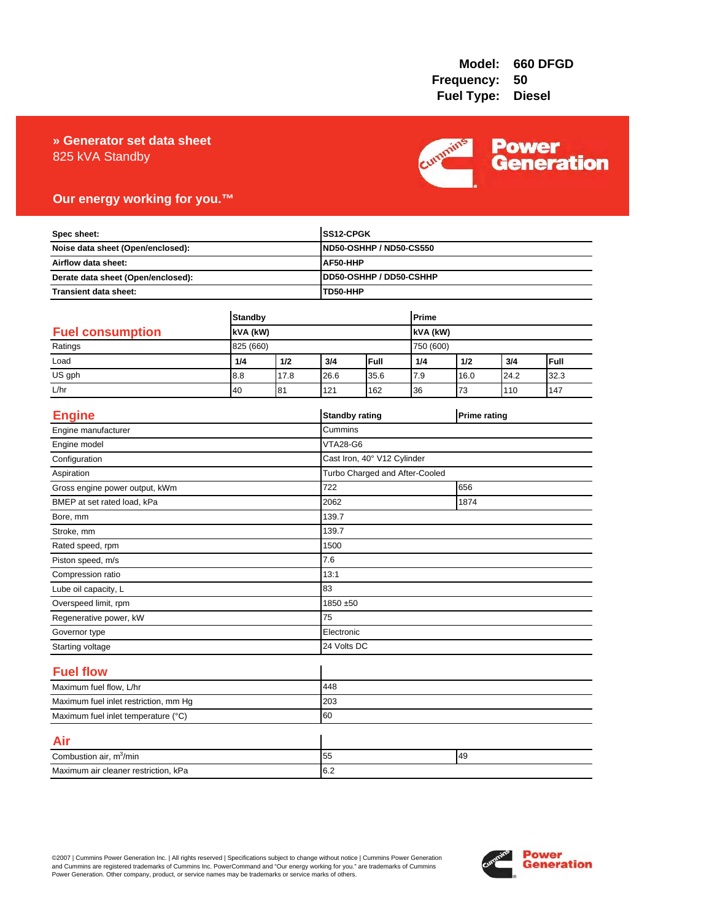### 825 kVA Standby **» Generator set data sheet**



## **Our energy working for you.™**

| Spec sheet:<br>Noise data sheet (Open/enclosed):<br>Airflow data sheet:<br>Derate data sheet (Open/enclosed): |                |      |                 | SS12-CPGK                                                                         |       |                     |      |      |  |
|---------------------------------------------------------------------------------------------------------------|----------------|------|-----------------|-----------------------------------------------------------------------------------|-------|---------------------|------|------|--|
|                                                                                                               |                |      |                 | <b>ND50-OSHHP / ND50-CS550</b><br>AF50-HHP<br>DD50-OSHHP / DD50-CSHHP<br>TD50-HHP |       |                     |      |      |  |
|                                                                                                               |                |      |                 |                                                                                   |       |                     |      |      |  |
|                                                                                                               |                |      |                 |                                                                                   |       |                     |      |      |  |
| <b>Transient data sheet:</b>                                                                                  |                |      |                 |                                                                                   |       |                     |      |      |  |
|                                                                                                               | <b>Standby</b> |      |                 |                                                                                   | Prime |                     |      |      |  |
| <b>Fuel consumption</b><br>kVA (kW)                                                                           |                |      | kVA (kW)        |                                                                                   |       |                     |      |      |  |
| Ratings                                                                                                       | 825 (660)      |      |                 | 750 (600)                                                                         |       |                     |      |      |  |
| Load                                                                                                          | 1/4            | 1/2  | 3/4             | Full                                                                              | 1/4   | 1/2                 | 3/4  | Full |  |
| US gph                                                                                                        | 8.8            | 17.8 | 26.6            | 35.6                                                                              | 7.9   | 16.0                | 24.2 | 32.3 |  |
| L/hr                                                                                                          | 40             | 81   | 121             | 162                                                                               | 36    | 73                  | 110  | 147  |  |
|                                                                                                               |                |      |                 |                                                                                   |       |                     |      |      |  |
| <b>Engine</b>                                                                                                 |                |      |                 | <b>Standby rating</b>                                                             |       | <b>Prime rating</b> |      |      |  |
| Engine manufacturer                                                                                           |                |      | Cummins         |                                                                                   |       |                     |      |      |  |
| Engine model                                                                                                  |                |      | <b>VTA28-G6</b> |                                                                                   |       |                     |      |      |  |
| Configuration                                                                                                 |                |      |                 | Cast Iron, 40° V12 Cylinder                                                       |       |                     |      |      |  |
| Aspiration                                                                                                    |                |      |                 | Turbo Charged and After-Cooled                                                    |       |                     |      |      |  |
| Gross engine power output, kWm                                                                                |                |      | 722             | 656                                                                               |       |                     |      |      |  |
| BMEP at set rated load, kPa                                                                                   |                |      | 2062            | 1874                                                                              |       |                     |      |      |  |
| Bore, mm                                                                                                      |                |      | 139.7           |                                                                                   |       |                     |      |      |  |
| Stroke, mm                                                                                                    |                |      | 139.7           |                                                                                   |       |                     |      |      |  |
| Rated speed, rpm                                                                                              |                |      | 1500            |                                                                                   |       |                     |      |      |  |
| Piston speed, m/s                                                                                             |                |      | 7.6             |                                                                                   |       |                     |      |      |  |
| Compression ratio                                                                                             |                |      | 13:1            |                                                                                   |       |                     |      |      |  |
| Lube oil capacity, L                                                                                          |                |      | 83              |                                                                                   |       |                     |      |      |  |
| Overspeed limit, rpm                                                                                          |                |      |                 | 1850 ±50                                                                          |       |                     |      |      |  |
| Regenerative power, kW                                                                                        |                |      | 75              |                                                                                   |       |                     |      |      |  |
| Governor type                                                                                                 |                |      |                 | Electronic                                                                        |       |                     |      |      |  |
| Starting voltage                                                                                              |                |      |                 | 24 Volts DC                                                                       |       |                     |      |      |  |
| <b>Fuel flow</b>                                                                                              |                |      |                 |                                                                                   |       |                     |      |      |  |
| Maximum fuel flow, L/hr                                                                                       |                |      | 448             |                                                                                   |       |                     |      |      |  |
| Maximum fuel inlet restriction, mm Hg                                                                         |                |      | 203             |                                                                                   |       |                     |      |      |  |
| Maximum fuel inlet temperature (°C)                                                                           |                | 60   |                 |                                                                                   |       |                     |      |      |  |
| Air                                                                                                           |                |      |                 |                                                                                   |       |                     |      |      |  |
| Combustion air, m <sup>3</sup> /min                                                                           |                |      | 49<br>55        |                                                                                   |       |                     |      |      |  |
| Maximum air cleaner restriction, kPa                                                                          |                |      | 6.2             |                                                                                   |       |                     |      |      |  |

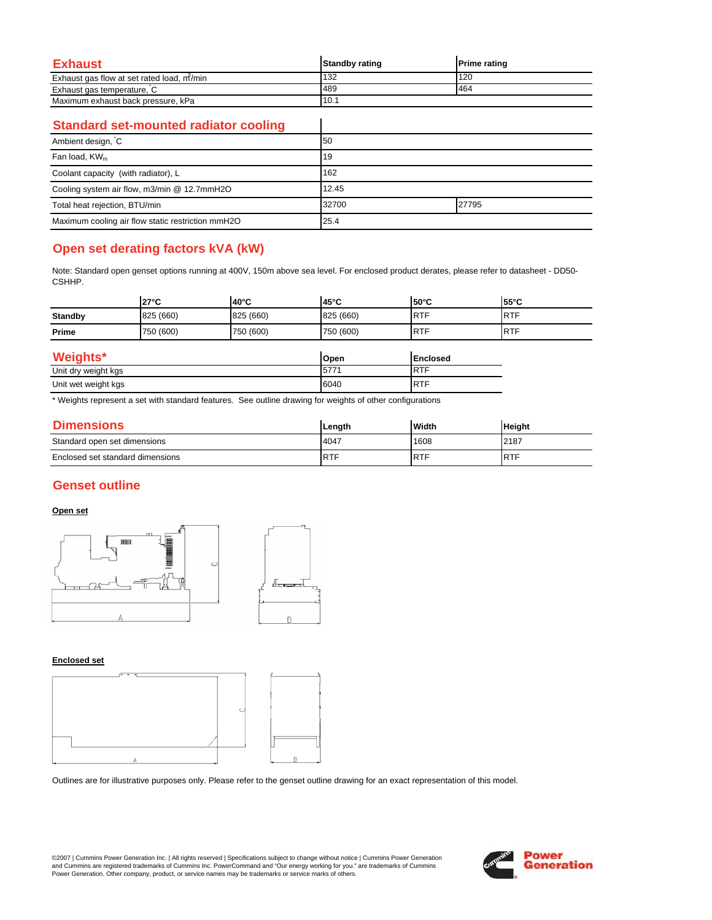| Exhaust                                   | <b>Standby rating</b> | <b>Prime rating</b> |
|-------------------------------------------|-----------------------|---------------------|
| Exhaust gas flow at set rated load, m/min | 132                   | 120                 |
| Exhaust gas temperature, C                | 489                   | 464                 |
| Maximum exhaust back pressure, kPa        | 10.1                  |                     |

 $\overline{\phantom{a}}$ 

### **Standard set-mounted radiator cooling**

| Ambient design, C                                 | 50             |  |
|---------------------------------------------------|----------------|--|
| Fan load, KW <sub>m</sub>                         | 19             |  |
| Coolant capacity (with radiator), L               | 162            |  |
| Cooling system air flow, m3/min @ 12.7mmH2O       | 12.45          |  |
| Total heat rejection, BTU/min                     | 32700<br>27795 |  |
| Maximum cooling air flow static restriction mmH2O | 25.4           |  |

# **Open set derating factors kVA (kW)**

Note: Standard open genset options running at 400V, 150m above sea level. For enclosed product derates, please refer to datasheet - DD50- CSHHP.

|                     | $27^{\circ}$ C | 40°C      | 45°C        | 50°C            | $55^{\circ}$ C |
|---------------------|----------------|-----------|-------------|-----------------|----------------|
| <b>Standby</b>      | 825 (660)      | 825 (660) | 825 (660)   | <b>RTF</b>      | <b>RTF</b>     |
| Prime               | 750 (600)      | 750 (600) | 750 (600)   | <b>RTF</b>      | <b>RTF</b>     |
| Weights*            |                |           | Open        | <b>Enclosed</b> |                |
| Unit dry weight kgs |                | 5771      | <b>IRTF</b> |                 |                |
| Unit wet weight kgs |                | 6040      | <b>IRTF</b> |                 |                |

\* Weights represent a set with standard features. See outline drawing for weights of other configurations

| <b>Dimensions</b>                | Length     | Width      | <b>Height</b> |
|----------------------------------|------------|------------|---------------|
| Standard open set dimensions     | 14047      | 1608       | 2187          |
| Enclosed set standard dimensions | <b>RTF</b> | <b>RTF</b> | <b>IRTF</b>   |

## **Genset outline**

### **Open set**



#### **Enclosed set**



Outlines are for illustrative purposes only. Please refer to the genset outline drawing for an exact representation of this model.

©2007 | Cummins Power Generation Inc. | All rights reserved | Specifications subject to change without notice | Cummins Power Generation and Cummins are registered trademarks of Cummins Inc. PowerCommand and "Our energy working for you." are trademarks of Cummins<br>Power Generation. Other company, product, or service names may be trademarks or service marks o